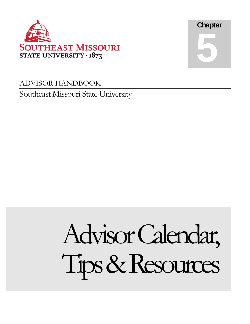



## ADVISOR HANDBOOK Southeast Missouri State University

# Tips & Resources Advisor Calendar,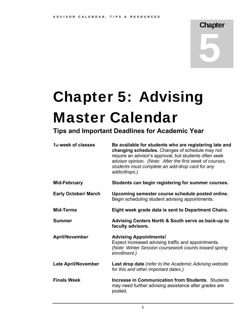## **Chapter** 5

## Chapter 5: Advising Master Calendar

### **Tips and Important Deadlines for Academic Year**

| 1 <sub>st</sub> week of classes | Be available for students who are registering late and<br>changing schedules. Changes of schedule may not<br>require an advisor's approval, but students often seek<br>advisor opinion. (Note: After the first week of courses,<br>students must complete an add-drop card for any<br>adds/drops.) |  |
|---------------------------------|----------------------------------------------------------------------------------------------------------------------------------------------------------------------------------------------------------------------------------------------------------------------------------------------------|--|
| Mid-February                    | Students can begin registering for summer courses.                                                                                                                                                                                                                                                 |  |
| <b>Early October/ March</b>     | Upcoming semester course schedule posted online.<br>Begin scheduling student advising appointments.                                                                                                                                                                                                |  |
| <b>Mid-Terms</b>                | Eight week grade data is sent to Department Chairs.                                                                                                                                                                                                                                                |  |
| <b>Summer</b>                   | Advising Centers North & South serve as back-up to<br>faculty advisors.                                                                                                                                                                                                                            |  |
| <b>April/November</b>           | <b>Advising Appointments!</b><br>Expect increased advising traffic and appointments.<br>(Note: Winter Session coursework counts toward spring<br>enrollment.)                                                                                                                                      |  |
| <b>Late April/November</b>      | <b>Last drop date</b> (refer to the Academic Advising website<br>for this and other important dates.)                                                                                                                                                                                              |  |
| <b>Finals Week</b>              | <b>Increase in Communication from Students. Students</b><br>may need further advising assistance after grades are<br>posted.                                                                                                                                                                       |  |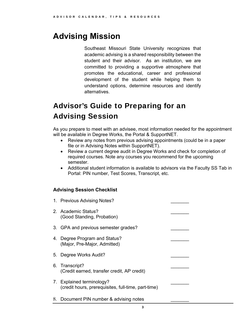## **Advising Mission**

 student and their advisor. As an institution, we are committed to providing a supportive atmosphere that Southeast Missouri State University recognizes that academic advising is a shared responsibility between the promotes the educational, career and professional development of the student while helping them to understand options, determine resources and identify alternatives.

## Advisor's Guide to Preparing for an Advising Session

As you prepare to meet with an advisee, most information needed for the appointment will be available in Degree Works, the Portal & SupportNET.

- Review any notes from previous advising appointments (could be in a paper file or in Advising Notes within SupportNET).
- Review a current degree audit in Degree Works and check for completion of required courses. Note any courses you recommend for the upcoming semester.
- Additional student information is available to advisors via the Faculty SS Tab in Portal: PIN number, Test Scores, Transcript, etc.

#### **Advising Session Checklist**

| 1. Previous Advising Notes?                                                      |  |
|----------------------------------------------------------------------------------|--|
| 2. Academic Status?<br>(Good Standing, Probation)                                |  |
| 3. GPA and previous semester grades?                                             |  |
| 4. Degree Program and Status?<br>(Major, Pre-Major, Admitted)                    |  |
| 5. Degree Works Audit?                                                           |  |
| 6. Transcript?<br>(Credit earned, transfer credit, AP credit)                    |  |
| 7. Explained terminology?<br>(credit hours, prerequisites, full-time, part-time) |  |
| 8. Document PIN number & advising notes                                          |  |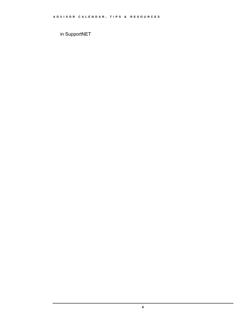in SupportNET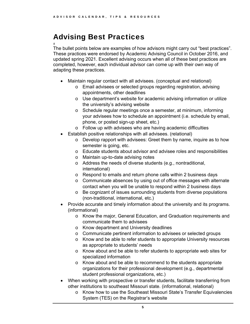## Advising Best Practices

 completed, however, each individual advisor can come up with their own way of # The bullet points below are examples of how advisors might carry out "best practices". These practices were endorsed by Academic Advising Council in October 2016, and updated spring 2021. Excellent advising occurs when all of these best practices are adapting these practices.

- Maintain regular contact with all advisees. (conceptual and relational)
	- o Email advisees or selected groups regarding registration, advising appointments, other deadlines
	- o Use department's website for academic advising information or utilize the university's advising website
	- o Schedule regular meetings once a semester, at minimum, informing your advisees how to schedule an appointment (i.e. schedule by email, phone, or posted sign-up sheet, etc.)
	- o Follow up with advisees who are having academic difficulties
- Establish positive relationships with all advisees. (relational)
	- $\circ$  Develop rapport with advisees: Greet them by name, inquire as to how semester is going, etc.
	- o Educate students about advisor and advisee roles and responsibilities
	- o Maintain up-to-date advising notes
	- o Address the needs of diverse students (e.g., nontraditional, international)
	- o Respond to emails and return phone calls within 2 business days
	- $\circ$  Communicate absences by using out of office messages with alternate contact when you will be unable to respond within 2 business days
	- o Be cognizant of issues surrounding students from diverse populations (non-traditional, international, etc.)
- Provide accurate and timely information about the university and its programs. (informational)
	- o Know the major, General Education, and Graduation requirements and communicate them to advisees
	- o Know department and University deadlines
	- o Communicate pertinent information to advisees or selected groups
	- $\circ$  Know and be able to refer students to appropriate University resources as appropriate to students' needs
	- o Know about and be able to refer students to appropriate web sites for specialized information
	- o Know about and be able to recommend to the students appropriate organizations for their professional development (e.g., departmental student professional organizations, etc.)
- When working with prospective or transfer students, facilitate transferring from other institutions to southeast Missouri state. (informational, relational)
	- o Know how to use the Southeast Missouri State's Transfer Equivalencies System (TES) on the Registrar's website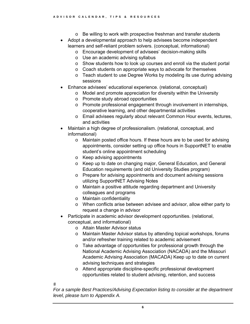- o Be willing to work with prospective freshman and transfer students
- Adopt a developmental approach to help advisees become independent learners and self-reliant problem solvers. (conceptual, informational)
	- o Encourage development of advisees' decision-making skills
	- o Use an academic advising syllabus
	- o Show students how to look up courses and enroll via the student portal
	- o Coach students on appropriate ways to advocate for themselves
	- $\circ$  Teach student to use Degree Works by modeling its use during advising sessions
- Enhance advisees' educational experience. (relational, conceptual)
	- o Model and promote appreciation for diversity within the University
	- o Promote study abroad opportunities
	- $\circ$  Promote professional engagement through involvement in internships, cooperative learning, and other departmental activities
	- o Email advisees regularly about relevant Common Hour events, lectures, and activities
- Maintain a high degree of professionalism. (relational, conceptual, and informational)
	- o Maintain posted office hours. If these hours are to be used for advising appointments, consider setting up office hours in SupportNET to enable student's online appointment scheduling
	- o Keep advising appointments
	- o Keep up to date on changing major, General Education, and General Education requirements (and old University Studies program)
	- o Prepare for advising appointments and document advising sessions utilizing SupportNET Advising Notes
	- o Maintain a positive attitude regarding department and University colleagues and programs
	- o Maintain confidentiality
	- o When conflicts arise between advisee and advisor, allow either party to request a change in advisor
- Participate in academic advisor development opportunities. (relational, conceptual, and informational)
	- o Attain Master Advisor status
	- o Maintain Master Advisor status by attending topical workshops, forums and/or refresher training related to academic advisement
	- o Take advantage of opportunities for professional growth through the National Academic Advising Association (NACADA) and the Missouri Academic Advising Association (MACADA) Keep up to date on current advising techniques and strategies
	- o Attend appropriate discipline-specific professional development opportunities related to student advising, retention, and success

 $#$ 

*For a sample Best Practices/Advising Expectation listing to consider at the department level, please turn to Appendix A.*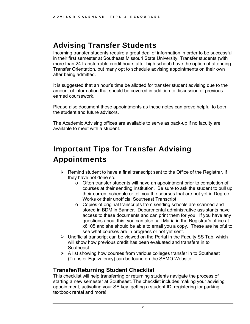## Advising Transfer Students

Incoming transfer students require a great deal of information in order to be successful in their first semester at Southeast Missouri State University. Transfer students (with more than 24 transferrable credit hours after high school) have the option of attending Transfer Orientation, but many opt to schedule advising appointments on their own after being admitted.

It is suggested that an hour's time be allotted for transfer student advising due to the amount of information that should be covered in addition to discussion of previous earned coursework.

Please also document these appointments as these notes can prove helpful to both the student and future advisors.

The Academic Advising offices are available to serve as back-up if no faculty are available to meet with a student.

## Important Tips for Transfer Advising Appointments

- $\triangleright$  Remind student to have a final transcript sent to the Office of the Registrar, if they have not done so.
	- $\circ$  Often transfer students will have an appointment prior to completion of courses at their sending institution. Be sure to ask the student to pull up their current schedule or tell you the courses that are not yet in Degree Works or their unofficial Southeast Transcript
	- o Copies of original transcripts from sending schools are scanned and stored in BDM in Banner. Departmental administrative assistants have access to these documents and can print them for you. If you have any questions about this, you can also call Maria in the Registrar's office at x6105 and she should be able to email you a copy. These are helpful to see what courses are in progress or not yet sent.
- $\triangleright$  Unofficial transcript can be viewed on the Portal in the Faculty SS Tab, which will show how previous credit has been evaluated and transfers in to Southeast.
- $\triangleright$  A list showing how courses from various colleges transfer in to Southeast (Transfer Equivalency) can be found on the SEMO Website.

#### **Transfer/Returning Student Checklist**

This checklist will help transferring or returning students navigate the process of starting a new semester at Southeast. The checklist includes making your advising appointment, activating your SE key, getting a student ID, registering for parking, textbook rental and more!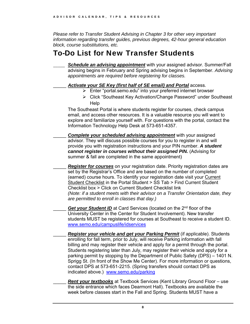*Please refer to Transfer Student Advising in Chapter 3 for other very important information regarding transfer guides, previous degrees, 42-hour general education block, course substitutions, etc.* 

### To-Do List for New Transfer Students

**Schedule an advising appointment** with your assigned advisor. Summer/Fall advising begins in February and Spring advising begins in September. *Advising appointments are required before registering for classes.* 

#### Activate your SE Key (first half of SE email) and Portal access.

- Enter "[portal.semo.edu](https://portal.semo.edu)" into your preferred internet browser
- Click "Southeast Key Activation/Change Password" under Southeast Help

The Southeast Portal is where students register for courses, check campus email, and access other resources. It is a valuable resource you will want to explore and familiarize yourself with. For questions with the portal, contact the Information Technology Help Desk at 573-651-4357.

\_\_\_\_\_ *Complete your scheduled advising appointment* with your assigned advisor. They will discuss possible courses for you to register in and will provide you with registration instructions and your PIN number. *A student cannot register in courses without their assigned PIN.* (Advising for summer & fall are completed in the same appointment)

**Register for courses** on your registration date. Priority registration dates are set by the Registrar's Office and are based on the number of completed (earned) course hours. To identify your registration date visit your Current Student Checklist in the Portal Student > SS Tab > Find Current Student Checklist box > Click on Current Student Checklist link *(Note: if a student meets with their advisor on a Transfer Orientation date, they are permitted to enroll in classes that day.)* 

 <www.semo.edu/campuslife/idservices> Get your Student ID at Card Services (located on the 2<sup>nd</sup> floor of the University Center in the Center for Student Involvement). New transfer students MUST be registered for courses at Southeast to receive a student ID.

indicated above.) <www.semo.edu/parking> **Register your vehicle and get your Parking Permit** (if applicable). Students enrolling for fall term, prior to July, will receive Parking information with fall billing and may register their vehicle and apply for a permit through the portal. Students registering later than July, may register their vehicle and apply for a parking permit by stopping by the Department of Public Safety (DPS) – 1401 N. Sprigg St. (In front of the Show Me Center). For more information or questions, contact DPS at 573-651-2215. (Spring transfers should contact DPS as

**Rent your textbooks** at Textbook Services (Kent Library Ground Floor – use the side entrance which faces Dearmont Hall). Textbooks are available the week before classes start in the Fall and Spring. Students MUST have a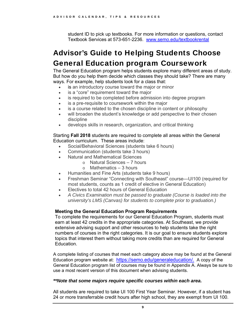Textbook Services at 573-651-2236. <www.semo.edu/textbookrental> student ID to pick up textbooks. For more information or questions, contact

## General Education program Coursework Advisor's Guide to Helping Students Choose

The General Education program helps students explore many different areas of study. But how do you help them decide which classes they should take? There are many ways. For example, help students look for a class that:

- is an introductory course toward the major or minor
- is a "core" requirement toward the major
- is required to be completed before admission into degree program
- is a pre-requisite to coursework within the major
- is a course related to the chosen discipline in content or philosophy
- discipline will broaden the student's knowledge or add perspective to their chosen
- develops skills in research, organization, and critical thinking

Starting **Fall 2018** students are required to complete all areas within the General Education curriculum. These areas include:

- Social/Behavioral Sciences (students take 6 hours)
- Communication (students take 3 hours)
- Natural and Mathematical Sciences
	- o Natural Sciences 7 hours
	- $\circ$  Mathematics 3 hours
- Humanities and Fine Arts (students take 9 hours)
- Freshman Seminar "Connecting with Southeast" course—UI100 (required for most students, counts as 1 credit of elective in General Education)
- Electives to total 42 hours of General Education
- *A Civics Examination must be passed to graduate (Course is loaded into the university's LMS (Canvas) for students to complete prior to graduation.)*

#### **Meeting the General Education Program Requirements**

To complete the requirements for our General Education Program, students must earn at least 42 credits in the appropriate categories. At Southeast, we provide extensive advising support and other resources to help students take the right numbers of courses in the right categories. It is our goal to ensure students explore topics that interest them without taking more credits than are required for General **Education** 

Education program website at: <https://semo.edu/generaleducation>/. A copy of the A complete listing of courses that meet each category above may be found at the General General Education program list of courses may be found in Appendix A. Always be sure to use a most recent version of this document when advising students.

#### *\*\*Note that some majors require specific courses within each area.*

All students are required to take UI 100 First Year Seminar. However, if a student has 24 or more transferrable credit hours after high school, they are exempt from UI 100.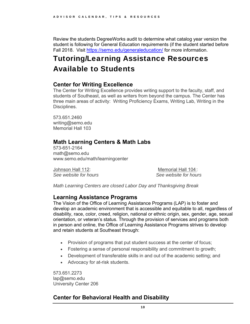Review the students DegreeWorks audit to determine what catalog year version the student is following for General Education requirements (if the student started before Fall 2018. Visit<https://semo.edu/generaleducation>/ for more information.

## Tutoring/Learning Assistance Resources Available to Students

#### **Center for Writing Excellence**

The Center for Writing Excellence provides writing support to the faculty, staff, and students of Southeast, as well as writers from beyond the campus. The Center has three main areas of activity: Writing Proficiency Exams, Writing Lab, Writing in the Disciplines.

573.651.2460 [writing@semo.edu](mailto:writing@semo.edu)  Memorial Hall 103

#### **Math Learning Centers & Math Labs**

573-651-2164 [math@semo.edu](mailto:math@semo.edu) <www.semo.edu/math/learningcenter>

See website for hours Johnson Hall 112: Memorial Hall 104 :

**See website for hours** 

*Math Learning Centers are closed Labor Day and Thanksgiving Break* 

#### **Learning Assistance Programs**

The Vision of the Office of Learning Assistance Programs (LAP) is to foster and develop an academic environment that is accessible and equitable to all, regardless of disability, race, color, creed, religion, national or ethnic origin, sex, gender, age, sexual orientation, or veteran's status. Through the provision of services and programs both in person and online, the Office of Learning Assistance Programs strives to develop and retain students at Southeast through:

- Provision of programs that put student success at the center of focus;
- Fostering a sense of personal responsibility and commitment to growth;
- Development of transferable skills in and out of the academic setting; and
- Advocacy for at-risk students.

573.651.2273 [lap@semo.edu](mailto:lap@semo.edu) University Center 206

#### **Center for Behavioral Health and Disability**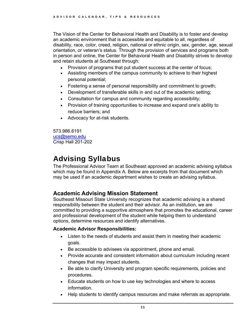The Vision of the Center for Behavioral Health and Disability is to foster and develop an academic environment that is accessible and equitable to all, regardless of disability, race, color, creed, religion, national or ethnic origin, sex, gender, age, sexual orientation, or veteran's status. Through the provision of services and programs both in person and online, the Center for Behavioral Health and Disability strives to develop and retain students at Southeast through:

- Provision of programs that put student success at the center of focus;
- Assisting members of the campus community to achieve to their highest personal potential;
- Fostering a sense of personal responsibility and commitment to growth;
- Development of transferable skills in and out of the academic setting;
- Consultation for campus and community regarding accessibility;
- Provision of training opportunities to increase and expand one's ability to reduce barriers; and
- Advocacy for at-risk students.

573.986.6191 [ucs@semo.edu](mailto:ucs@semo.edu) Crisp Hall 201-202

## Advising Syllabus

The Professional Advisor Team at Southeast approved an academic advising syllabus which may be found in Appendix A. Below are excerpts from that document which may be used if an academic department wishes to create an advising syllabus.

#### **Academic Advising Mission Statement**

Southeast Missouri State University recognizes that academic advising is a shared responsibility between the student and their advisor. As an institution, we are committed to providing a supportive atmosphere that promotes the educational, career and professional development of the student while helping them to understand options, determine resources and identify alternatives.

#### **Academic Advisor Responsibilities:**

- Listen to the needs of students and assist them in meeting their academic goals.
- Be accessible to advisees via appointment, phone and email.
- Provide accurate and consistent information about curriculum including recent changes that may impact students.
- Be able to clarify University and program specific requirements, policies and procedures.
- Educate students on how to use key technologies and where to access information.
- Help students to identify campus resources and make referrals as appropriate.